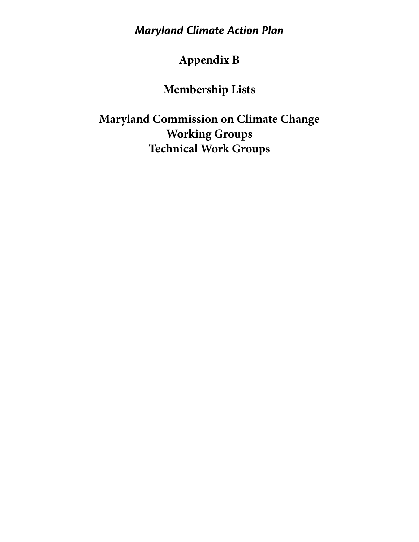*Maryland Climate Action Plan*

# **Appendix B**

# **Membership Lists**

**Maryland Commission on Climate Change Working Groups Technical Work Groups**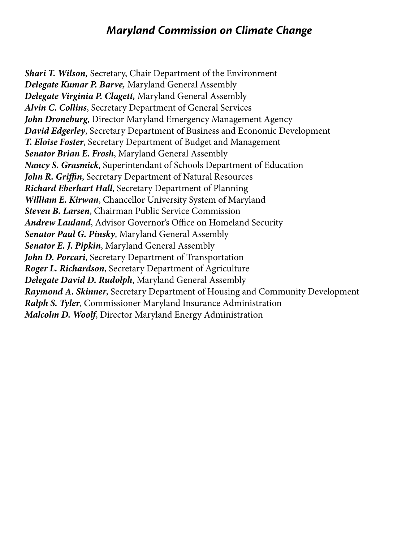#### *Maryland Commission on Climate Change*

*Shari T. Wilson,* Secretary, Chair Department of the Environment *Delegate Kumar P. Barve,* Maryland General Assembly *Delegate Virginia P. Clagett,* Maryland General Assembly *Alvin C. Collins*, Secretary Department of General Services *John Droneburg*, Director Maryland Emergency Management Agency *David Edgerley*, Secretary Department of Business and Economic Development *T. Eloise Foster*, Secretary Department of Budget and Management *Senator Brian E. Frosh*, Maryland General Assembly *Nancy S. Grasmick*, Superintendant of Schools Department of Education *John R. Griffin*, Secretary Department of Natural Resources *Richard Eberhart Hall*, Secretary Department of Planning *William E. Kirwan*, Chancellor University System of Maryland *Steven B. Larsen*, Chairman Public Service Commission *Andrew Lauland*, Advisor Governor's Office on Homeland Security *Senator Paul G. Pinsky*, Maryland General Assembly *Senator E. J. Pipkin*, Maryland General Assembly *John D. Porcari*, Secretary Department of Transportation *Roger L. Richardson*, Secretary Department of Agriculture *Delegate David D. Rudolph*, Maryland General Assembly *Raymond A. Skinner*, Secretary Department of Housing and Community Development *Ralph S. Tyler*, Commissioner Maryland Insurance Administration *Malcolm D. Woolf*, Director Maryland Energy Administration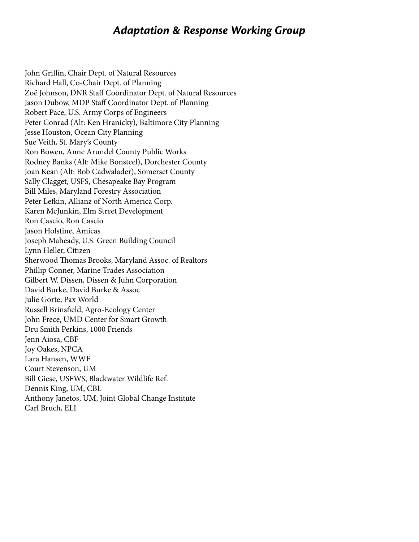#### *Adaptation & Response Working Group*

John Griffin, Chair Dept. of Natural Resources Richard Hall, Co-Chair Dept. of Planning Zoë Johnson, DNR Staff Coordinator Dept. of Natural Resources Jason Dubow, MDP Staff Coordinator Dept. of Planning Robert Pace, U.S. Army Corps of Engineers Peter Conrad (Alt: Ken Hranicky), Baltimore City Planning Jesse Houston, Ocean City Planning Sue Veith, St. Mary's County Ron Bowen, Anne Arundel County Public Works Rodney Banks (Alt: Mike Bonsteel), Dorchester County Joan Kean (Alt: Bob Cadwalader), Somerset County Sally Clagget, USFS, Chesapeake Bay Program Bill Miles, Maryland Forestry Association Peter Lefkin, Allianz of North America Corp. Karen McJunkin, Elm Street Development Ron Cascio, Ron Cascio Jason Holstine, Amicas Joseph Maheady, U.S. Green Building Council Lynn Heller, Citizen Sherwood Thomas Brooks, Maryland Assoc. of Realtors Phillip Conner, Marine Trades Association Gilbert W. Dissen, Dissen & Juhn Corporation David Burke, David Burke & Assoc Julie Gorte, Pax World Russell Brinsfield, Agro-Ecology Center John Frece, UMD Center for Smart Growth Dru Smith Perkins, 1000 Friends Jenn Aiosa, CBF Joy Oakes, NPCA Lara Hansen, WWF Court Stevenson, UM Bill Giese, USFWS, Blackwater Wildlife Ref. Dennis King, UM, CBL Anthony Janetos, UM, Joint Global Change Institute Carl Bruch, ELI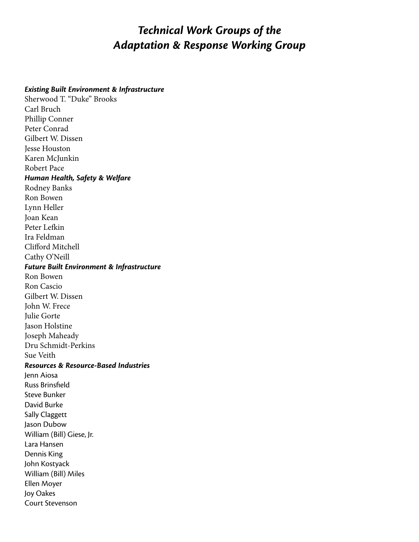### *Technical Work Groups of the Adaptation & Response Working Group*

#### *Existing Built Environment & Infrastructure*

Sherwood T. "Duke" Brooks Carl Bruch Phillip Conner Peter Conrad Gilbert W. Dissen Jesse Houston Karen McJunkin Robert Pace *Human Health, Safety & Welfare* Rodney Banks Ron Bowen Lynn Heller Joan Kean Peter Lefkin Ira Feldman Clifford Mitchell Cathy O'Neill *Future Built Environment & Infrastructure* Ron Bowen Ron Cascio Gilbert W. Dissen John W. Frece Julie Gorte Jason Holstine Joseph Maheady Dru Schmidt-Perkins Sue Veith *Resources & Resource-Based Industries* Jenn Aiosa Russ Brinsfield Steve Bunker David Burke Sally Claggett Jason Dubow William (Bill) Giese, Jr. Lara Hansen Dennis King John Kostyack William (Bill) Miles Ellen Moyer Joy Oakes Court Stevenson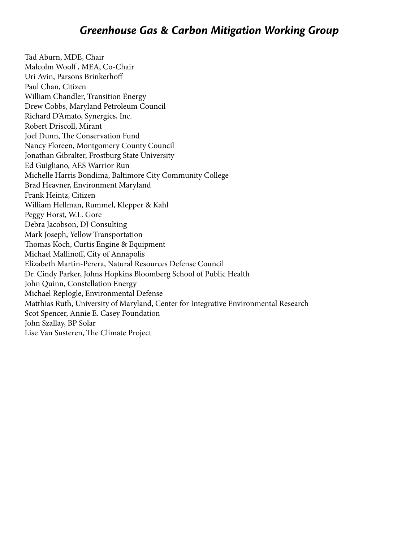Tad Aburn, MDE, Chair Malcolm Woolf , MEA, Co-Chair Uri Avin, Parsons Brinkerhoff Paul Chan, Citizen William Chandler, Transition Energy Drew Cobbs, Maryland Petroleum Council Richard D'Amato, Synergics, Inc. Robert Driscoll, Mirant Joel Dunn, The Conservation Fund Nancy Floreen, Montgomery County Council Jonathan Gibralter, Frostburg State University Ed Guigliano, AES Warrior Run Michelle Harris Bondima, Baltimore City Community College Brad Heavner, Environment Maryland Frank Heintz, Citizen William Hellman, Rummel, Klepper & Kahl Peggy Horst, W.L. Gore Debra Jacobson, DJ Consulting Mark Joseph, Yellow Transportation Thomas Koch, Curtis Engine & Equipment Michael Mallinoff, City of Annapolis Elizabeth Martin-Perera, Natural Resources Defense Council Dr. Cindy Parker, Johns Hopkins Bloomberg School of Public Health John Quinn, Constellation Energy Michael Replogle, Environmental Defense Matthias Ruth, University of Maryland, Center for Integrative Environmental Research Scot Spencer, Annie E. Casey Foundation John Szallay, BP Solar Lise Van Susteren, The Climate Project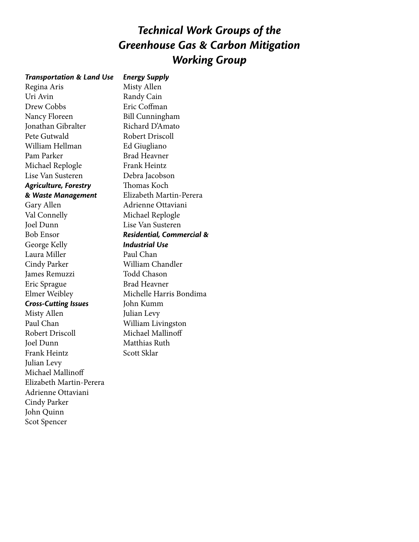## *Technical Work Groups of the Greenhouse Gas & Carbon Mitigation Working Group*

#### *Transportation & Land Use* Regina Aris Uri Avin Drew Cobbs Nancy Floreen Jonathan Gibralter Pete Gutwald William Hellman Pam Parker Michael Replogle Lise Van Susteren *Agriculture, Forestry & Waste Management* Gary Allen Val Connelly Joel Dunn Bob Ensor George Kelly Laura Miller Cindy Parker James Remuzzi Eric Sprague Elmer Weibley *Cross-Cutting Issues* Misty Allen Paul Chan Robert Driscoll Joel Dunn Frank Heintz Julian Levy Michael Mallinoff Elizabeth Martin-Perera Adrienne Ottaviani Cindy Parker John Quinn Scot Spencer

Misty Allen Randy Cain Eric Coffman Bill Cunningham Richard D'Amato Robert Driscoll Ed Giugliano Brad Heavner Frank Heintz Debra Jacobson Thomas Koch Elizabeth Martin-Perera Adrienne Ottaviani Michael Replogle Lise Van Susteren *Residential, Commercial & Industrial Use* Paul Chan William Chandler Todd Chason Brad Heavner Michelle Harris Bondima John Kumm Julian Levy William Livingston Michael Mallinoff Matthias Ruth Scott Sklar

*Energy Supply*